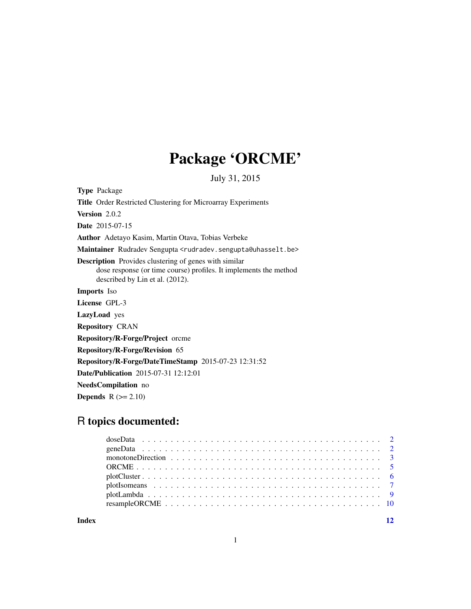## Package 'ORCME'

July 31, 2015

Type Package

Title Order Restricted Clustering for Microarray Experiments

Version 2.0.2

Date 2015-07-15

Author Adetayo Kasim, Martin Otava, Tobias Verbeke

Maintainer Rudradev Sengupta <rudradev.sengupta@uhasselt.be>

Description Provides clustering of genes with similar

dose response (or time course) profiles. It implements the method described by Lin et al. (2012).

Imports Iso

License GPL-3

LazyLoad yes

Repository CRAN

Repository/R-Forge/Project orcme

Repository/R-Forge/Revision 65

Repository/R-Forge/DateTimeStamp 2015-07-23 12:31:52

Date/Publication 2015-07-31 12:12:01

NeedsCompilation no

**Depends**  $R$  ( $>= 2.10$ )

### R topics documented:

**Index** [12](#page-11-0)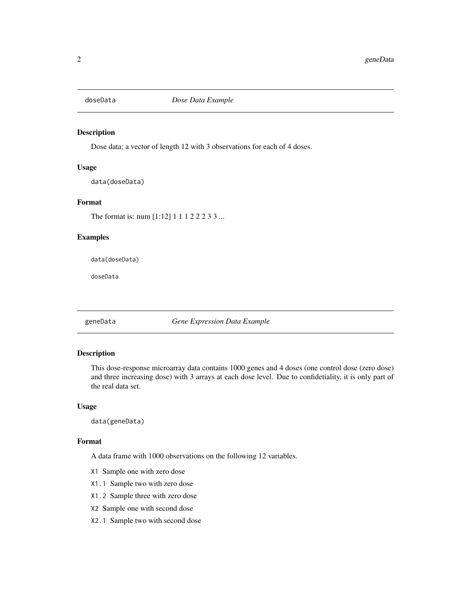<span id="page-1-0"></span>

#### Description

Dose data; a vector of length 12 with 3 observations for each of 4 doses.

#### Usage

data(doseData)

#### Format

The format is: num [1:12] 1 1 1 2 2 2 3 3 ...

#### Examples

data(doseData)

doseData

geneData *Gene Expression Data Example*

#### Description

This dose-response microarray data contains 1000 genes and 4 doses (one control dose (zero dose) and three increasing dose) with 3 arrays at each dose level. Due to confidetiality, it is only part of the real data set.

#### Usage

data(geneData)

#### Format

A data frame with 1000 observations on the following 12 variables.

- X1 Sample one with zero dose
- X1.1 Sample two with zero dose
- X1.2 Sample three with zero dose
- X2 Sample one with second dose
- X2.1 Sample two with second dose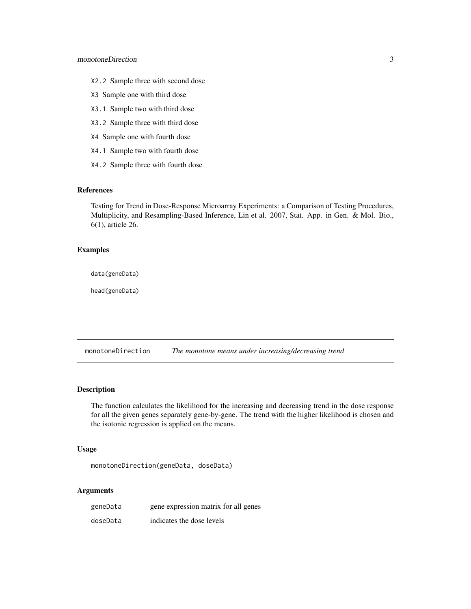- <span id="page-2-0"></span>X2.2 Sample three with second dose
- X3 Sample one with third dose
- X3.1 Sample two with third dose
- X3.2 Sample three with third dose
- X4 Sample one with fourth dose
- X4.1 Sample two with fourth dose
- X4.2 Sample three with fourth dose

#### References

Testing for Trend in Dose-Response Microarray Experiments: a Comparison of Testing Procedures, Multiplicity, and Resampling-Based Inference, Lin et al. 2007, Stat. App. in Gen. & Mol. Bio., 6(1), article 26.

#### Examples

data(geneData)

head(geneData)

<span id="page-2-1"></span>monotoneDirection *The monotone means under increasing/decreasing trend*

#### Description

The function calculates the likelihood for the increasing and decreasing trend in the dose response for all the given genes separately gene-by-gene. The trend with the higher likelihood is chosen and the isotonic regression is applied on the means.

#### Usage

```
monotoneDirection(geneData, doseData)
```
#### Arguments

| geneData | gene expression matrix for all genes |
|----------|--------------------------------------|
| doseData | indicates the dose levels            |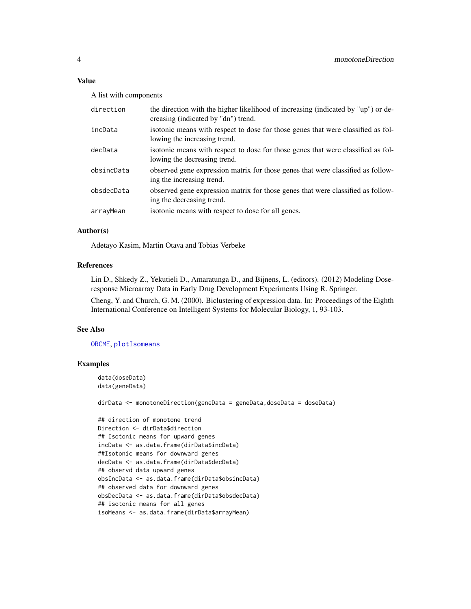#### <span id="page-3-0"></span>Value

A list with components

| direction  | the direction with the higher likelihood of increasing (indicated by "up") or de-<br>creasing (indicated by "dn") trend. |
|------------|--------------------------------------------------------------------------------------------------------------------------|
| incData    | isotonic means with respect to dose for those genes that were classified as fol-<br>lowing the increasing trend.         |
| decData    | isotonic means with respect to dose for those genes that were classified as fol-<br>lowing the decreasing trend.         |
| obsincData | observed gene expression matrix for those genes that were classified as follow-<br>ing the increasing trend.             |
| obsdecData | observed gene expression matrix for those genes that were classified as follow-<br>ing the decreasing trend.             |
| arrayMean  | isotonic means with respect to dose for all genes.                                                                       |

#### Author(s)

Adetayo Kasim, Martin Otava and Tobias Verbeke

#### References

Lin D., Shkedy Z., Yekutieli D., Amaratunga D., and Bijnens, L. (editors). (2012) Modeling Doseresponse Microarray Data in Early Drug Development Experiments Using R. Springer.

Cheng, Y. and Church, G. M. (2000). Biclustering of expression data. In: Proceedings of the Eighth International Conference on Intelligent Systems for Molecular Biology, 1, 93-103.

#### See Also

[ORCME](#page-4-1), [plotIsomeans](#page-6-1)

#### Examples

```
data(doseData)
data(geneData)
```
dirData <- monotoneDirection(geneData = geneData,doseData = doseData)

```
## direction of monotone trend
Direction <- dirData$direction
## Isotonic means for upward genes
incData <- as.data.frame(dirData$incData)
##Isotonic means for downward genes
decData <- as.data.frame(dirData$decData)
## observd data upward genes
obsIncData <- as.data.frame(dirData$obsincData)
## observed data for downward genes
obsDecData <- as.data.frame(dirData$obsdecData)
## isotonic means for all genes
isoMeans <- as.data.frame(dirData$arrayMean)
```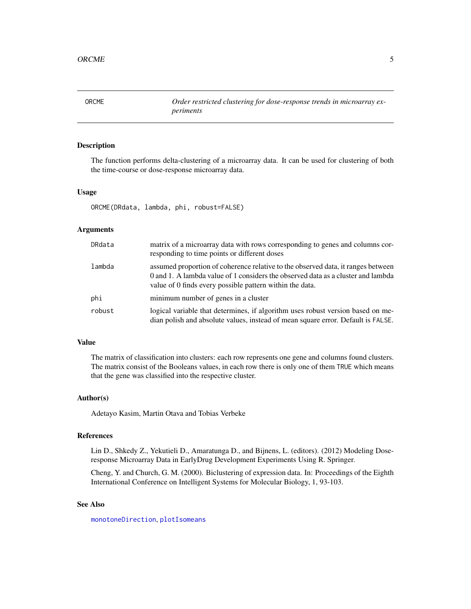<span id="page-4-1"></span><span id="page-4-0"></span>ORCME *Order restricted clustering for dose-response trends in microarray experiments*

#### Description

The function performs delta-clustering of a microarray data. It can be used for clustering of both the time-course or dose-response microarray data.

#### Usage

ORCME(DRdata, lambda, phi, robust=FALSE)

#### Arguments

| DRdata | matrix of a microarray data with rows corresponding to genes and columns cor-<br>responding to time points or different doses                                                                                                    |
|--------|----------------------------------------------------------------------------------------------------------------------------------------------------------------------------------------------------------------------------------|
| lambda | assumed proportion of coherence relative to the observed data, it ranges between<br>0 and 1. A lambda value of 1 considers the observed data as a cluster and lambda<br>value of 0 finds every possible pattern within the data. |
| phi    | minimum number of genes in a cluster                                                                                                                                                                                             |
| robust | logical variable that determines, if algorithm uses robust version based on me-<br>dian polish and absolute values, instead of mean square error. Default is FALSE.                                                              |

#### Value

The matrix of classification into clusters: each row represents one gene and columns found clusters. The matrix consist of the Booleans values, in each row there is only one of them TRUE which means that the gene was classified into the respective cluster.

#### Author(s)

Adetayo Kasim, Martin Otava and Tobias Verbeke

#### References

Lin D., Shkedy Z., Yekutieli D., Amaratunga D., and Bijnens, L. (editors). (2012) Modeling Doseresponse Microarray Data in EarlyDrug Development Experiments Using R. Springer.

Cheng, Y. and Church, G. M. (2000). Biclustering of expression data. In: Proceedings of the Eighth International Conference on Intelligent Systems for Molecular Biology, 1, 93-103.

#### See Also

[monotoneDirection](#page-2-1), [plotIsomeans](#page-6-1)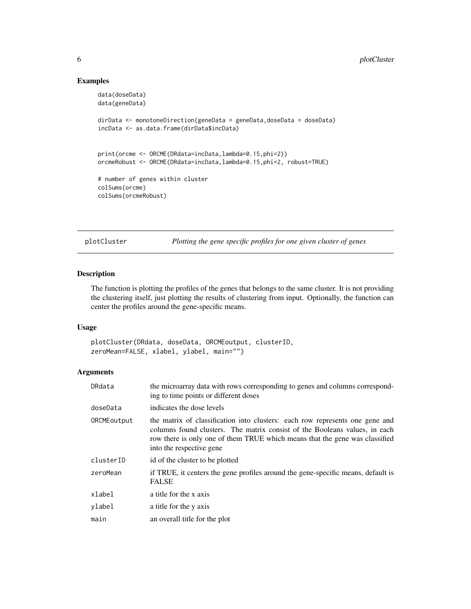#### Examples

```
data(doseData)
data(geneData)
dirData <- monotoneDirection(geneData = geneData,doseData = doseData)
incData <- as.data.frame(dirData$incData)
print(orcme <- ORCME(DRdata=incData,lambda=0.15,phi=2))
orcmeRobust <- ORCME(DRdata=incData,lambda=0.15,phi=2, robust=TRUE)
# number of genes within cluster
colSums(orcme)
colSums(orcmeRobust)
```
plotCluster *Plotting the gene specific profiles for one given cluster of genes*

#### Description

The function is plotting the profiles of the genes that belongs to the same cluster. It is not providing the clustering itself, just plotting the results of clustering from input. Optionally, the function can center the profiles around the gene-specific means.

#### Usage

plotCluster(DRdata, doseData, ORCMEoutput, clusterID, zeroMean=FALSE, xlabel, ylabel, main="")

#### Arguments

| DRdata      | the microarray data with rows corresponding to genes and columns correspond-<br>ing to time points or different doses                                                                                                                                                 |
|-------------|-----------------------------------------------------------------------------------------------------------------------------------------------------------------------------------------------------------------------------------------------------------------------|
| doseData    | indicates the dose levels                                                                                                                                                                                                                                             |
| ORCMEoutput | the matrix of classification into clusters: each row represents one gene and<br>columns found clusters. The matrix consist of the Booleans values, in each<br>row there is only one of them TRUE which means that the gene was classified<br>into the respective gene |
| clusterID   | id of the cluster to be plotted                                                                                                                                                                                                                                       |
| zeroMean    | if TRUE, it centers the gene profiles around the gene-specific means, default is<br><b>FALSE</b>                                                                                                                                                                      |
| xlabel      | a title for the x axis                                                                                                                                                                                                                                                |
| vlabel      | a title for the y axis                                                                                                                                                                                                                                                |
| main        | an overall title for the plot                                                                                                                                                                                                                                         |

<span id="page-5-0"></span>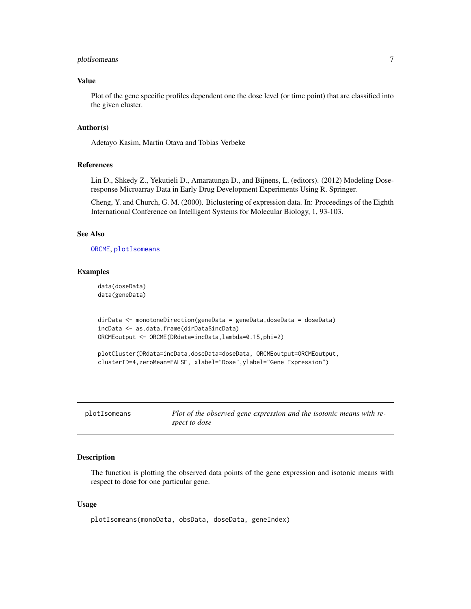#### <span id="page-6-0"></span>plotIsomeans 7

#### Value

Plot of the gene specific profiles dependent one the dose level (or time point) that are classified into the given cluster.

#### Author(s)

Adetayo Kasim, Martin Otava and Tobias Verbeke

#### References

Lin D., Shkedy Z., Yekutieli D., Amaratunga D., and Bijnens, L. (editors). (2012) Modeling Doseresponse Microarray Data in Early Drug Development Experiments Using R. Springer.

Cheng, Y. and Church, G. M. (2000). Biclustering of expression data. In: Proceedings of the Eighth International Conference on Intelligent Systems for Molecular Biology, 1, 93-103.

#### See Also

[ORCME](#page-4-1), [plotIsomeans](#page-6-1)

#### Examples

data(doseData) data(geneData)

```
dirData <- monotoneDirection(geneData = geneData,doseData = doseData)
incData <- as.data.frame(dirData$incData)
ORCMEoutput <- ORCME(DRdata=incData,lambda=0.15,phi=2)
```

```
plotCluster(DRdata=incData,doseData=doseData, ORCMEoutput=ORCMEoutput,
clusterID=4,zeroMean=FALSE, xlabel="Dose",ylabel="Gene Expression")
```
<span id="page-6-1"></span>

| plotIsomeans | Plot of the observed gene expression and the isotonic means with re- |
|--------------|----------------------------------------------------------------------|
|              | spect to dose                                                        |

#### Description

The function is plotting the observed data points of the gene expression and isotonic means with respect to dose for one particular gene.

#### Usage

```
plotIsomeans(monoData, obsData, doseData, geneIndex)
```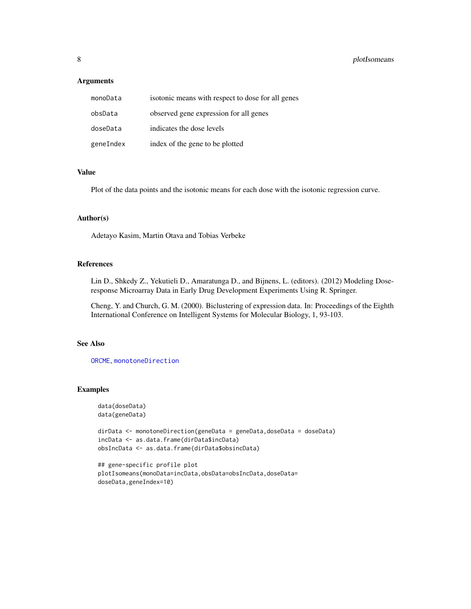#### <span id="page-7-0"></span>**Arguments**

| monoData  | isotonic means with respect to dose for all genes |
|-----------|---------------------------------------------------|
| obsData   | observed gene expression for all genes            |
| doseData  | indicates the dose levels                         |
| geneIndex | index of the gene to be plotted                   |

#### Value

Plot of the data points and the isotonic means for each dose with the isotonic regression curve.

#### Author(s)

Adetayo Kasim, Martin Otava and Tobias Verbeke

#### References

Lin D., Shkedy Z., Yekutieli D., Amaratunga D., and Bijnens, L. (editors). (2012) Modeling Doseresponse Microarray Data in Early Drug Development Experiments Using R. Springer.

Cheng, Y. and Church, G. M. (2000). Biclustering of expression data. In: Proceedings of the Eighth International Conference on Intelligent Systems for Molecular Biology, 1, 93-103.

#### See Also

[ORCME](#page-4-1), [monotoneDirection](#page-2-1)

#### Examples

```
data(doseData)
data(geneData)
```

```
dirData <- monotoneDirection(geneData = geneData,doseData = doseData)
incData <- as.data.frame(dirData$incData)
obsIncData <- as.data.frame(dirData$obsincData)
```

```
## gene-specific profile plot
plotIsomeans(monoData=incData,obsData=obsIncData,doseData=
doseData,geneIndex=10)
```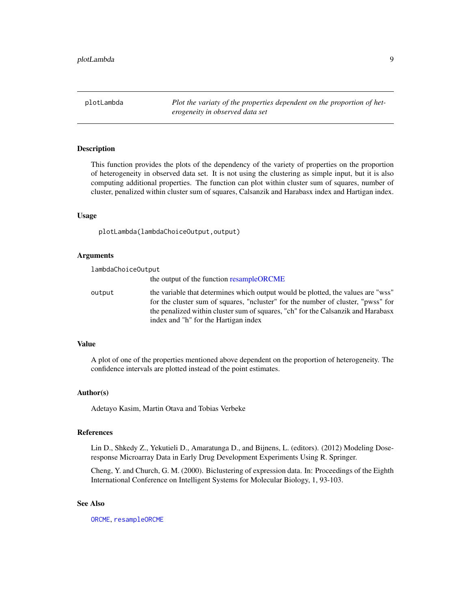<span id="page-8-1"></span><span id="page-8-0"></span>plotLambda *Plot the variaty of the properties dependent on the proportion of heterogeneity in observed data set*

#### **Description**

This function provides the plots of the dependency of the variety of properties on the proportion of heterogeneity in observed data set. It is not using the clustering as simple input, but it is also computing additional properties. The function can plot within cluster sum of squares, number of cluster, penalized within cluster sum of squares, Calsanzik and Harabasx index and Hartigan index.

#### Usage

plotLambda(lambdaChoiceOutput,output)

#### Arguments

| lambdaChoiceOutput |                                                                                                                                                                                                                                                                                              |
|--------------------|----------------------------------------------------------------------------------------------------------------------------------------------------------------------------------------------------------------------------------------------------------------------------------------------|
|                    | the output of the function resampleORCME                                                                                                                                                                                                                                                     |
| output             | the variable that determines which output would be plotted, the values are "wss"<br>for the cluster sum of squares, "not " for the number of cluster, "pwss" for<br>the penalized within cluster sum of squares, "ch" for the Calsanzik and Harabasx<br>index and "h" for the Hartigan index |

#### Value

A plot of one of the properties mentioned above dependent on the proportion of heterogeneity. The confidence intervals are plotted instead of the point estimates.

#### Author(s)

Adetayo Kasim, Martin Otava and Tobias Verbeke

#### References

Lin D., Shkedy Z., Yekutieli D., Amaratunga D., and Bijnens, L. (editors). (2012) Modeling Doseresponse Microarray Data in Early Drug Development Experiments Using R. Springer.

Cheng, Y. and Church, G. M. (2000). Biclustering of expression data. In: Proceedings of the Eighth International Conference on Intelligent Systems for Molecular Biology, 1, 93-103.

#### See Also

[ORCME](#page-4-1), [resampleORCME](#page-9-1)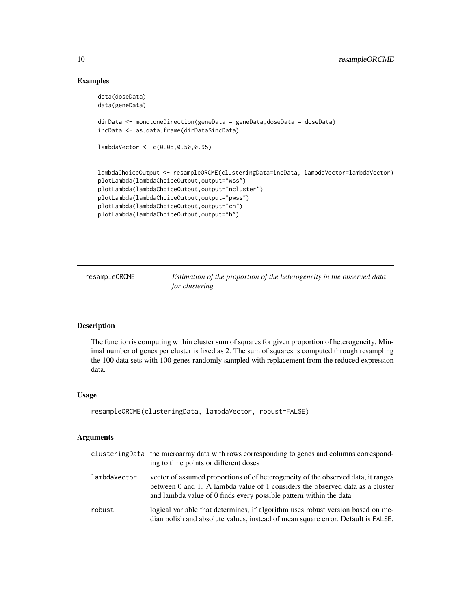#### Examples

```
data(doseData)
data(geneData)
dirData <- monotoneDirection(geneData = geneData,doseData = doseData)
incData <- as.data.frame(dirData$incData)
lambdaVector <- c(0.05,0.50,0.95)
lambdaChoiceOutput <- resampleORCME(clusteringData=incData, lambdaVector=lambdaVector)
plotLambda(lambdaChoiceOutput,output="wss")
plotLambda(lambdaChoiceOutput,output="ncluster")
plotLambda(lambdaChoiceOutput,output="pwss")
plotLambda(lambdaChoiceOutput,output="ch")
plotLambda(lambdaChoiceOutput,output="h")
```
<span id="page-9-1"></span>resampleORCME *Estimation of the proportion of the heterogeneity in the observed data for clustering*

#### Description

The function is computing within cluster sum of squares for given proportion of heterogeneity. Minimal number of genes per cluster is fixed as 2. The sum of squares is computed through resampling the 100 data sets with 100 genes randomly sampled with replacement from the reduced expression data.

#### Usage

```
resampleORCME(clusteringData, lambdaVector, robust=FALSE)
```
#### Arguments

|              | clustering Data the microarray data with rows corresponding to genes and columns correspond-<br>ing to time points or different doses                                                                                                    |
|--------------|------------------------------------------------------------------------------------------------------------------------------------------------------------------------------------------------------------------------------------------|
| lambdaVector | vector of assumed proportions of of heterogeneity of the observed data, it ranges<br>between 0 and 1. A lambda value of 1 considers the observed data as a cluster<br>and lambda value of 0 finds every possible pattern within the data |
| robust       | logical variable that determines, if algorithm uses robust version based on me-<br>dian polish and absolute values, instead of mean square error. Default is FALSE.                                                                      |

<span id="page-9-0"></span>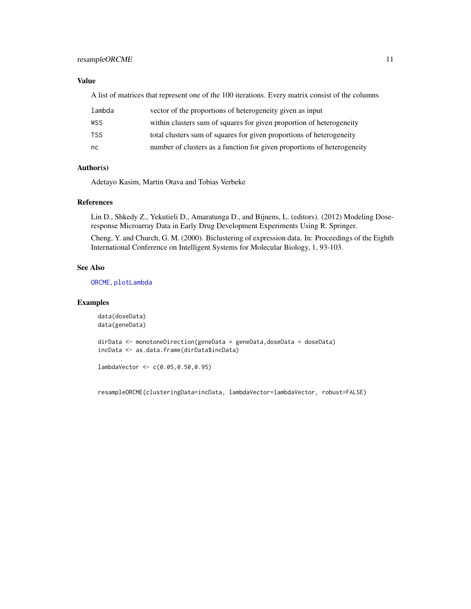#### <span id="page-10-0"></span>resampleORCME 11

#### Value

A list of matrices that represent one of the 100 iterations. Every matrix consist of the columns

| lambda | vector of the proportions of heterogeneity given as input               |
|--------|-------------------------------------------------------------------------|
| WSS    | within clusters sum of squares for given proportion of heterogeneity    |
| TSS.   | total clusters sum of squares for given proportions of heterogeneity    |
| nc.    | number of clusters as a function for given proportions of heterogeneity |

#### Author(s)

Adetayo Kasim, Martin Otava and Tobias Verbeke

#### References

Lin D., Shkedy Z., Yekutieli D., Amaratunga D., and Bijnens, L. (editors). (2012) Modeling Doseresponse Microarray Data in Early Drug Development Experiments Using R. Springer.

Cheng, Y. and Church, G. M. (2000). Biclustering of expression data. In: Proceedings of the Eighth International Conference on Intelligent Systems for Molecular Biology, 1, 93-103.

#### See Also

[ORCME](#page-4-1), [plotLambda](#page-8-1)

#### Examples

data(doseData) data(geneData)

dirData <- monotoneDirection(geneData = geneData,doseData = doseData) incData <- as.data.frame(dirData\$incData)

```
lambdaVector <- c(0.05,0.50,0.95)
```
resampleORCME(clusteringData=incData, lambdaVector=lambdaVector, robust=FALSE)